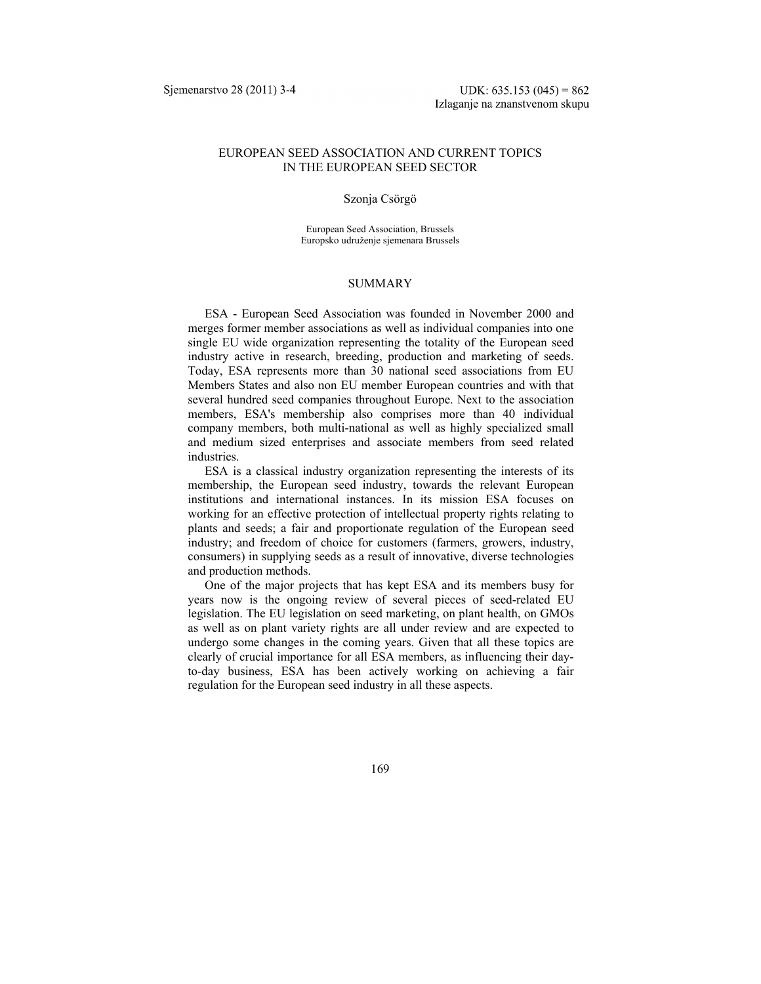## EUROPEAN SEED ASSOCIATION AND CURRENT TOPICS IN THE EUROPEAN SEED SECTOR

#### Szonja Csörgö

European Seed Association, Brussels Europsko udruženje sjemenara Brussels

#### **SUMMARY**

ESA - European Seed Association was founded in November 2000 and merges former member associations as well as individual companies into one single EU wide organization representing the totality of the European seed industry active in research, breeding, production and marketing of seeds. Today, ESA represents more than 30 national seed associations from EU Members States and also non EU member European countries and with that several hundred seed companies throughout Europe. Next to the association members, ESA's membership also comprises more than 40 individual company members, both multi-national as well as highly specialized small and medium sized enterprises and associate members from seed related industries.

ESA is a classical industry organization representing the interests of its membership, the European seed industry, towards the relevant European institutions and international instances. In its mission ESA focuses on working for an effective protection of intellectual property rights relating to plants and seeds; a fair and proportionate regulation of the European seed industry; and freedom of choice for customers (farmers, growers, industry, consumers) in supplying seeds as a result of innovative, diverse technologies and production methods.

One of the major projects that has kept ESA and its members busy for years now is the ongoing review of several pieces of seed-related EU legislation. The EU legislation on seed marketing, on plant health, on GMOs as well as on plant variety rights are all under review and are expected to undergo some changes in the coming years. Given that all these topics are clearly of crucial importance for all ESA members, as influencing their dayto-day business, ESA has been actively working on achieving a fair regulation for the European seed industry in all these aspects.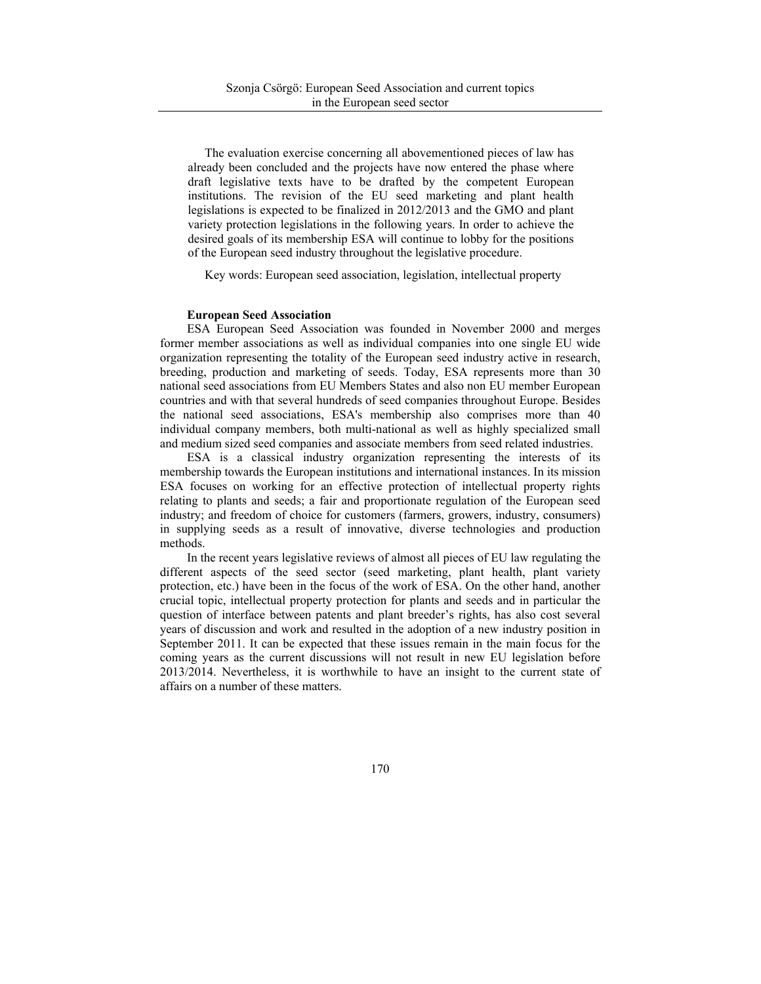The evaluation exercise concerning all abovementioned pieces of law has already been concluded and the projects have now entered the phase where draft legislative texts have to be drafted by the competent European institutions. The revision of the EU seed marketing and plant health legislations is expected to be finalized in 2012/2013 and the GMO and plant variety protection legislations in the following years. In order to achieve the desired goals of its membership ESA will continue to lobby for the positions of the European seed industry throughout the legislative procedure.

Key words: European seed association, legislation, intellectual property

### **European Seed Association**

ESA European Seed Association was founded in November 2000 and merges former member associations as well as individual companies into one single EU wide organization representing the totality of the European seed industry active in research, breeding, production and marketing of seeds. Today, ESA represents more than 30 national seed associations from EU Members States and also non EU member European countries and with that several hundreds of seed companies throughout Europe. Besides the national seed associations, ESA's membership also comprises more than 40 individual company members, both multi-national as well as highly specialized small and medium sized seed companies and associate members from seed related industries.

ESA is a classical industry organization representing the interests of its membership towards the European institutions and international instances. In its mission ESA focuses on working for an effective protection of intellectual property rights relating to plants and seeds; a fair and proportionate regulation of the European seed industry; and freedom of choice for customers (farmers, growers, industry, consumers) in supplying seeds as a result of innovative, diverse technologies and production methods.

In the recent years legislative reviews of almost all pieces of EU law regulating the different aspects of the seed sector (seed marketing, plant health, plant variety protection, etc.) have been in the focus of the work of ESA. On the other hand, another crucial topic, intellectual property protection for plants and seeds and in particular the question of interface between patents and plant breeder's rights, has also cost several years of discussion and work and resulted in the adoption of a new industry position in September 2011. It can be expected that these issues remain in the main focus for the coming years as the current discussions will not result in new EU legislation before 2013/2014. Nevertheless, it is worthwhile to have an insight to the current state of affairs on a number of these matters.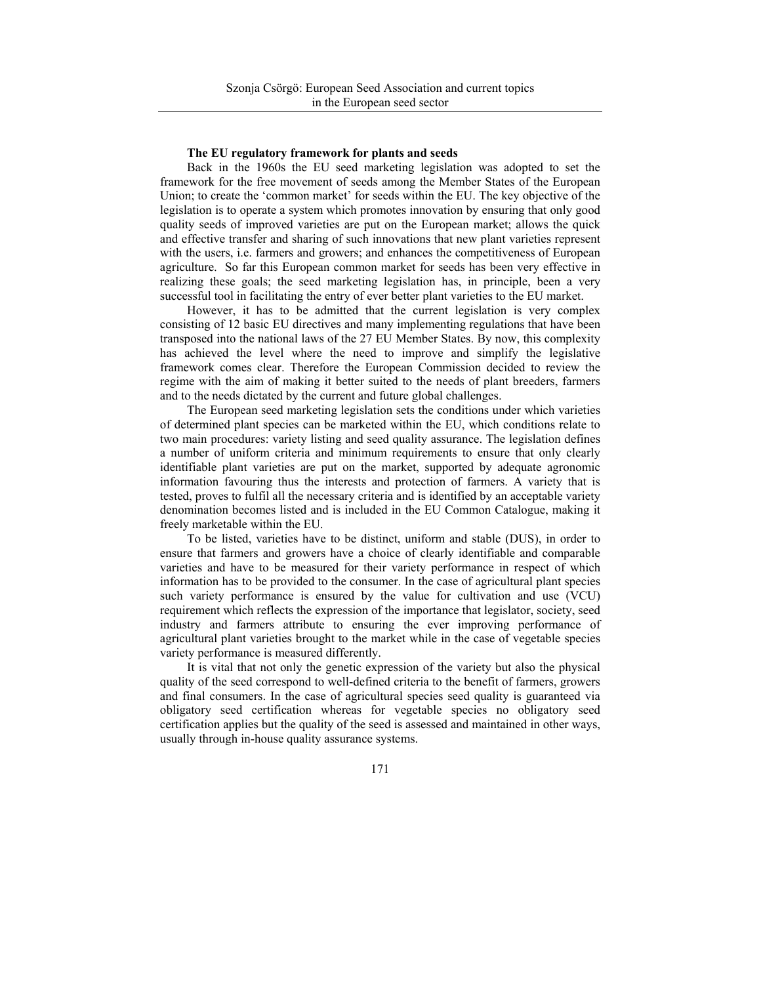### **The EU regulatory framework for plants and seeds**

Back in the 1960s the EU seed marketing legislation was adopted to set the framework for the free movement of seeds among the Member States of the European Union; to create the 'common market' for seeds within the EU. The key objective of the legislation is to operate a system which promotes innovation by ensuring that only good quality seeds of improved varieties are put on the European market; allows the quick and effective transfer and sharing of such innovations that new plant varieties represent with the users, i.e. farmers and growers; and enhances the competitiveness of European agriculture. So far this European common market for seeds has been very effective in realizing these goals; the seed marketing legislation has, in principle, been a very successful tool in facilitating the entry of ever better plant varieties to the EU market.

However, it has to be admitted that the current legislation is very complex consisting of 12 basic EU directives and many implementing regulations that have been transposed into the national laws of the 27 EU Member States. By now, this complexity has achieved the level where the need to improve and simplify the legislative framework comes clear. Therefore the European Commission decided to review the regime with the aim of making it better suited to the needs of plant breeders, farmers and to the needs dictated by the current and future global challenges.

The European seed marketing legislation sets the conditions under which varieties of determined plant species can be marketed within the EU, which conditions relate to two main procedures: variety listing and seed quality assurance. The legislation defines a number of uniform criteria and minimum requirements to ensure that only clearly identifiable plant varieties are put on the market, supported by adequate agronomic information favouring thus the interests and protection of farmers. A variety that is tested, proves to fulfil all the necessary criteria and is identified by an acceptable variety denomination becomes listed and is included in the EU Common Catalogue, making it freely marketable within the EU.

To be listed, varieties have to be distinct, uniform and stable (DUS), in order to ensure that farmers and growers have a choice of clearly identifiable and comparable varieties and have to be measured for their variety performance in respect of which information has to be provided to the consumer. In the case of agricultural plant species such variety performance is ensured by the value for cultivation and use (VCU) requirement which reflects the expression of the importance that legislator, society, seed industry and farmers attribute to ensuring the ever improving performance of agricultural plant varieties brought to the market while in the case of vegetable species variety performance is measured differently.

It is vital that not only the genetic expression of the variety but also the physical quality of the seed correspond to well-defined criteria to the benefit of farmers, growers and final consumers. In the case of agricultural species seed quality is guaranteed via obligatory seed certification whereas for vegetable species no obligatory seed certification applies but the quality of the seed is assessed and maintained in other ways, usually through in-house quality assurance systems.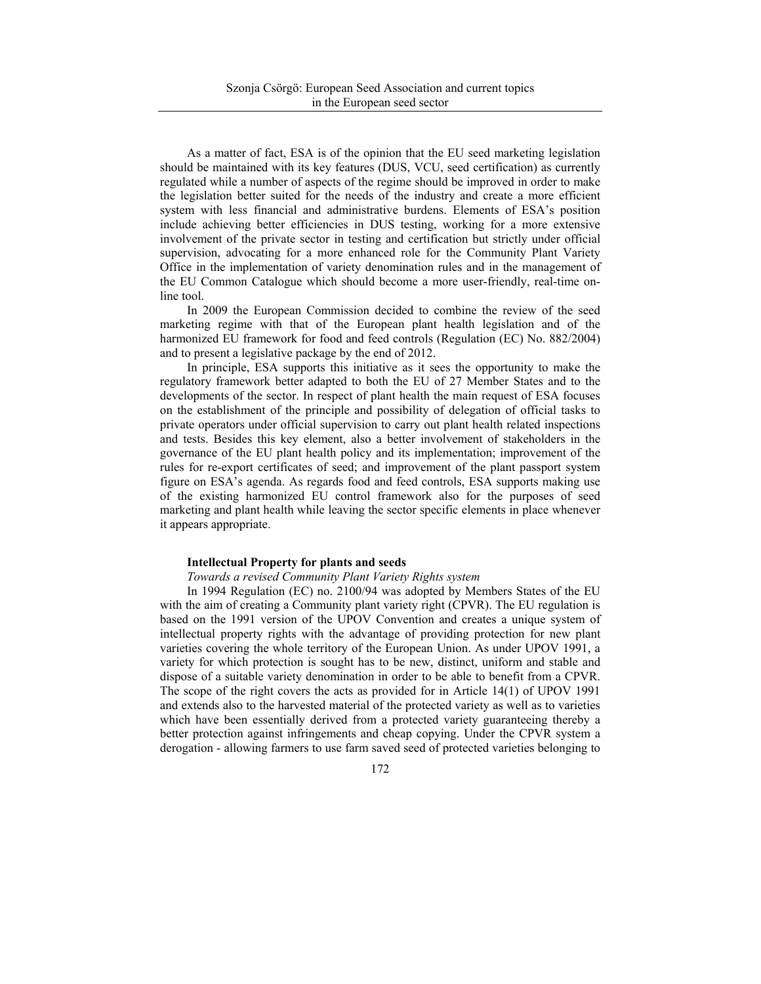As a matter of fact, ESA is of the opinion that the EU seed marketing legislation should be maintained with its key features (DUS, VCU, seed certification) as currently regulated while a number of aspects of the regime should be improved in order to make the legislation better suited for the needs of the industry and create a more efficient system with less financial and administrative burdens. Elements of ESA's position include achieving better efficiencies in DUS testing, working for a more extensive involvement of the private sector in testing and certification but strictly under official supervision, advocating for a more enhanced role for the Community Plant Variety Office in the implementation of variety denomination rules and in the management of the EU Common Catalogue which should become a more user-friendly, real-time online tool.

In 2009 the European Commission decided to combine the review of the seed marketing regime with that of the European plant health legislation and of the harmonized EU framework for food and feed controls (Regulation (EC) No. 882/2004) and to present a legislative package by the end of 2012.

In principle, ESA supports this initiative as it sees the opportunity to make the regulatory framework better adapted to both the EU of 27 Member States and to the developments of the sector. In respect of plant health the main request of ESA focuses on the establishment of the principle and possibility of delegation of official tasks to private operators under official supervision to carry out plant health related inspections and tests. Besides this key element, also a better involvement of stakeholders in the governance of the EU plant health policy and its implementation; improvement of the rules for re-export certificates of seed; and improvement of the plant passport system figure on ESA's agenda. As regards food and feed controls, ESA supports making use of the existing harmonized EU control framework also for the purposes of seed marketing and plant health while leaving the sector specific elements in place whenever it appears appropriate.

#### **Intellectual Property for plants and seeds**

## *Towards a revised Community Plant Variety Rights system*

In 1994 Regulation (EC) no. 2100/94 was adopted by Members States of the EU with the aim of creating a Community plant variety right (CPVR). The EU regulation is based on the 1991 version of the UPOV Convention and creates a unique system of intellectual property rights with the advantage of providing protection for new plant varieties covering the whole territory of the European Union. As under UPOV 1991, a variety for which protection is sought has to be new, distinct, uniform and stable and dispose of a suitable variety denomination in order to be able to benefit from a CPVR. The scope of the right covers the acts as provided for in Article 14(1) of UPOV 1991 and extends also to the harvested material of the protected variety as well as to varieties which have been essentially derived from a protected variety guaranteeing thereby a better protection against infringements and cheap copying. Under the CPVR system a derogation - allowing farmers to use farm saved seed of protected varieties belonging to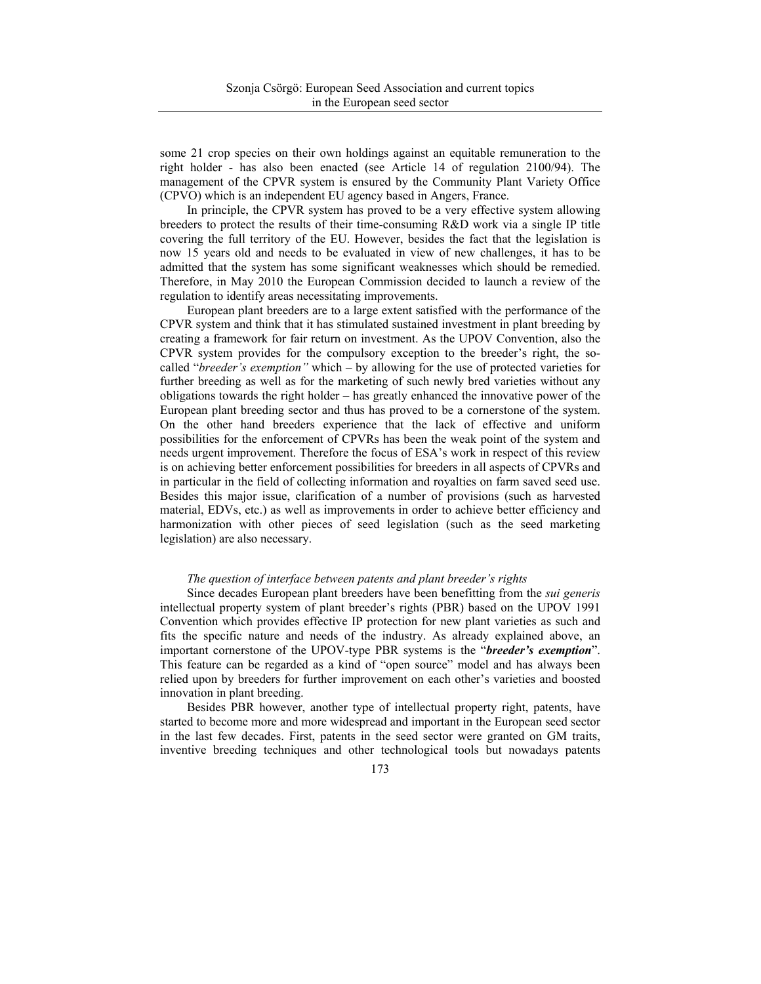some 21 crop species on their own holdings against an equitable remuneration to the right holder - has also been enacted (see Article 14 of regulation 2100/94). The management of the CPVR system is ensured by the Community Plant Variety Office (CPVO) which is an independent EU agency based in Angers, France.

In principle, the CPVR system has proved to be a very effective system allowing breeders to protect the results of their time-consuming R&D work via a single IP title covering the full territory of the EU. However, besides the fact that the legislation is now 15 years old and needs to be evaluated in view of new challenges, it has to be admitted that the system has some significant weaknesses which should be remedied. Therefore, in May 2010 the European Commission decided to launch a review of the regulation to identify areas necessitating improvements.

European plant breeders are to a large extent satisfied with the performance of the CPVR system and think that it has stimulated sustained investment in plant breeding by creating a framework for fair return on investment. As the UPOV Convention, also the CPVR system provides for the compulsory exception to the breeder's right, the socalled "*breeder's exemption"* which – by allowing for the use of protected varieties for further breeding as well as for the marketing of such newly bred varieties without any obligations towards the right holder – has greatly enhanced the innovative power of the European plant breeding sector and thus has proved to be a cornerstone of the system. On the other hand breeders experience that the lack of effective and uniform possibilities for the enforcement of CPVRs has been the weak point of the system and needs urgent improvement. Therefore the focus of ESA's work in respect of this review is on achieving better enforcement possibilities for breeders in all aspects of CPVRs and in particular in the field of collecting information and royalties on farm saved seed use. Besides this major issue, clarification of a number of provisions (such as harvested material, EDVs, etc.) as well as improvements in order to achieve better efficiency and harmonization with other pieces of seed legislation (such as the seed marketing legislation) are also necessary.

## *The question of interface between patents and plant breeder's rights*

Since decades European plant breeders have been benefitting from the *sui generis* intellectual property system of plant breeder's rights (PBR) based on the UPOV 1991 Convention which provides effective IP protection for new plant varieties as such and fits the specific nature and needs of the industry. As already explained above, an important cornerstone of the UPOV-type PBR systems is the "*breeder's exemption*". This feature can be regarded as a kind of "open source" model and has always been relied upon by breeders for further improvement on each other's varieties and boosted innovation in plant breeding.

Besides PBR however, another type of intellectual property right, patents, have started to become more and more widespread and important in the European seed sector in the last few decades. First, patents in the seed sector were granted on GM traits, inventive breeding techniques and other technological tools but nowadays patents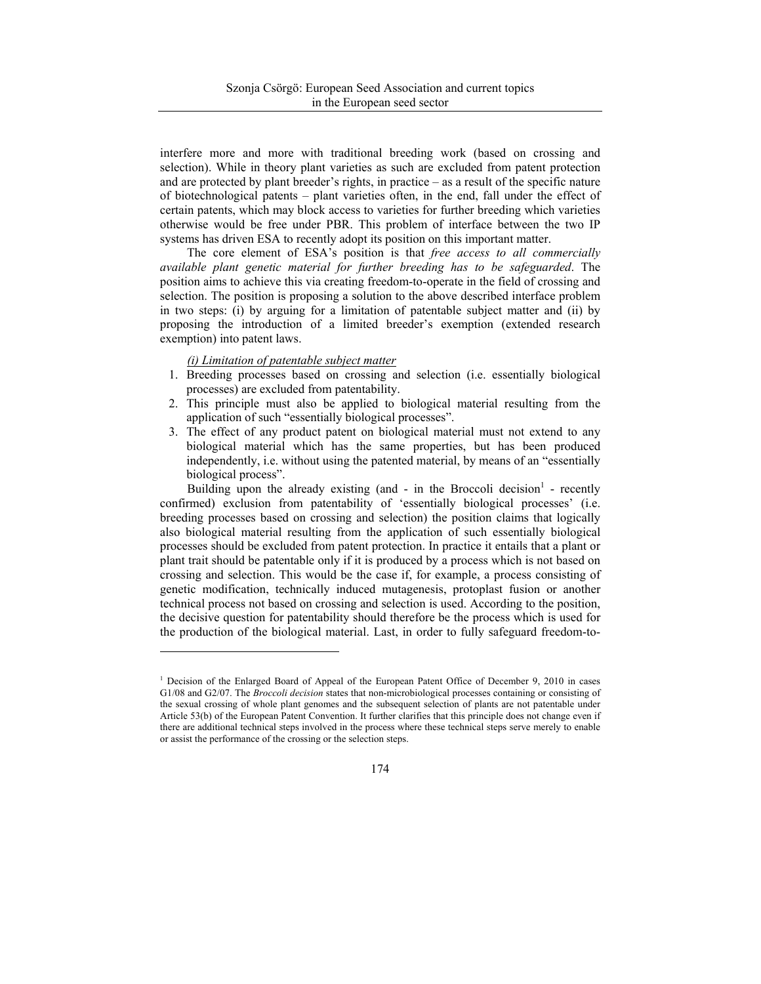interfere more and more with traditional breeding work (based on crossing and selection). While in theory plant varieties as such are excluded from patent protection and are protected by plant breeder's rights, in practice – as a result of the specific nature of biotechnological patents – plant varieties often, in the end, fall under the effect of certain patents, which may block access to varieties for further breeding which varieties otherwise would be free under PBR. This problem of interface between the two IP systems has driven ESA to recently adopt its position on this important matter.

The core element of ESA's position is that *free access to all commercially available plant genetic material for further breeding has to be safeguarded*. The position aims to achieve this via creating freedom-to-operate in the field of crossing and selection. The position is proposing a solution to the above described interface problem in two steps: (i) by arguing for a limitation of patentable subject matter and (ii) by proposing the introduction of a limited breeder's exemption (extended research exemption) into patent laws.

### *(i) Limitation of patentable subject matter*

 $\overline{a}$ 

- 1. Breeding processes based on crossing and selection (i.e. essentially biological processes) are excluded from patentability.
- 2. This principle must also be applied to biological material resulting from the application of such "essentially biological processes".
- 3. The effect of any product patent on biological material must not extend to any biological material which has the same properties, but has been produced independently, i.e. without using the patented material, by means of an "essentially biological process".

Building upon the already existing (and - in the Broccoli decision<sup>1</sup> - recently confirmed) exclusion from patentability of 'essentially biological processes' (i.e. breeding processes based on crossing and selection) the position claims that logically also biological material resulting from the application of such essentially biological processes should be excluded from patent protection. In practice it entails that a plant or plant trait should be patentable only if it is produced by a process which is not based on crossing and selection. This would be the case if, for example, a process consisting of genetic modification, technically induced mutagenesis, protoplast fusion or another technical process not based on crossing and selection is used. According to the position, the decisive question for patentability should therefore be the process which is used for the production of the biological material. Last, in order to fully safeguard freedom-to-

<sup>&</sup>lt;sup>1</sup> Decision of the Enlarged Board of Appeal of the European Patent Office of December 9, 2010 in cases G1/08 and G2/07. The *Broccoli decision* states that non-microbiological processes containing or consisting of the sexual crossing of whole plant genomes and the subsequent selection of plants are not patentable under Article 53(b) of the European Patent Convention. It further clarifies that this principle does not change even if there are additional technical steps involved in the process where these technical steps serve merely to enable or assist the performance of the crossing or the selection steps.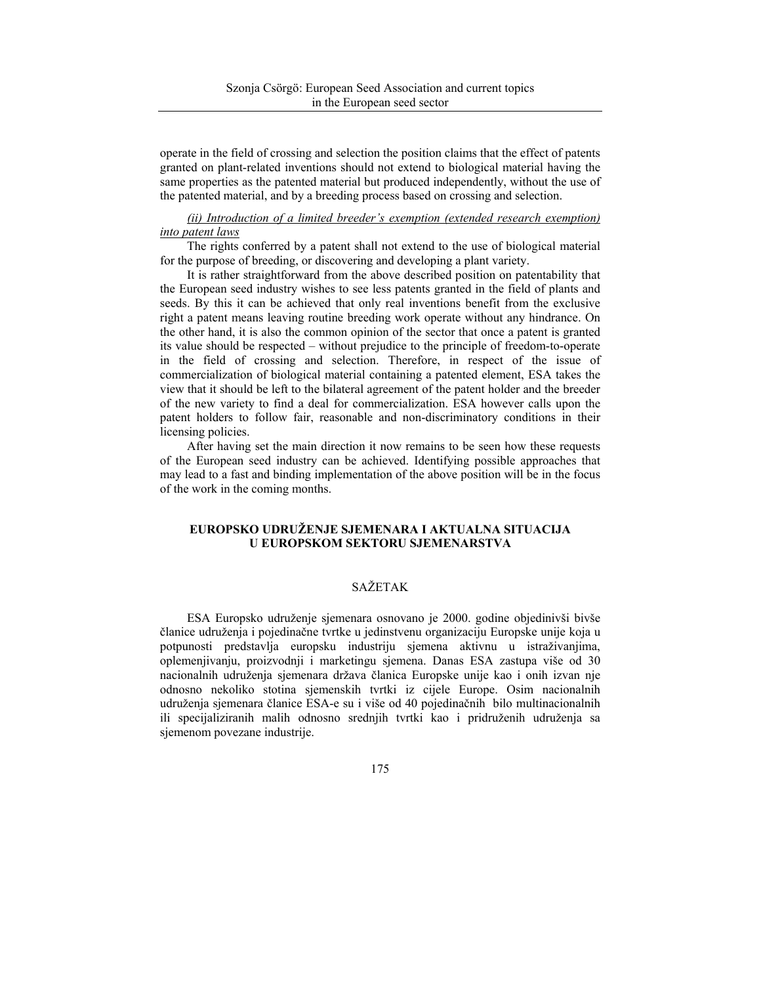operate in the field of crossing and selection the position claims that the effect of patents granted on plant-related inventions should not extend to biological material having the same properties as the patented material but produced independently, without the use of the patented material, and by a breeding process based on crossing and selection.

## *(ii) Introduction of a limited breeder's exemption (extended research exemption) into patent laws*

The rights conferred by a patent shall not extend to the use of biological material for the purpose of breeding, or discovering and developing a plant variety.

It is rather straightforward from the above described position on patentability that the European seed industry wishes to see less patents granted in the field of plants and seeds. By this it can be achieved that only real inventions benefit from the exclusive right a patent means leaving routine breeding work operate without any hindrance. On the other hand, it is also the common opinion of the sector that once a patent is granted its value should be respected – without prejudice to the principle of freedom-to-operate in the field of crossing and selection. Therefore, in respect of the issue of commercialization of biological material containing a patented element, ESA takes the view that it should be left to the bilateral agreement of the patent holder and the breeder of the new variety to find a deal for commercialization. ESA however calls upon the patent holders to follow fair, reasonable and non-discriminatory conditions in their licensing policies.

After having set the main direction it now remains to be seen how these requests of the European seed industry can be achieved. Identifying possible approaches that may lead to a fast and binding implementation of the above position will be in the focus of the work in the coming months.

## **EUROPSKO UDRUŽENJE SJEMENARA I AKTUALNA SITUACIJA U EUROPSKOM SEKTORU SJEMENARSTVA**

# SAŽETAK

ESA Europsko udruženje sjemenara osnovano je 2000. godine objedinivši bivše članice udruženja i pojedinačne tvrtke u jedinstvenu organizaciju Europske unije koja u potpunosti predstavlja europsku industriju sjemena aktivnu u istraživanjima, oplemenjivanju, proizvodnji i marketingu sjemena. Danas ESA zastupa više od 30 nacionalnih udruženja sjemenara država članica Europske unije kao i onih izvan nje odnosno nekoliko stotina sjemenskih tvrtki iz cijele Europe. Osim nacionalnih udruženja sjemenara članice ESA-e su i više od 40 pojedinačnih bilo multinacionalnih ili specijaliziranih malih odnosno srednjih tvrtki kao i pridruženih udruženja sa sjemenom povezane industrije.